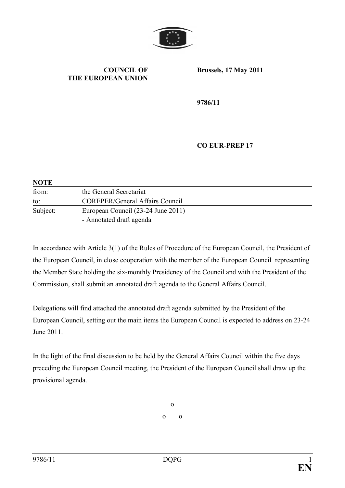

#### **COUNCIL OF THE EUROPEAN UNION**

**Brussels, 17 May 2011**

**9786/11**

## **CO EUR-PREP 17**

| <b>NOTE</b> |                                        |
|-------------|----------------------------------------|
| from:       | the General Secretariat                |
| to:         | <b>COREPER/General Affairs Council</b> |
| Subject:    | European Council (23-24 June 2011)     |
|             | - Annotated draft agenda               |

In accordance with Article 3(1) of the Rules of Procedure of the European Council, the President of the European Council, in close cooperation with the member of the European Council representing the Member State holding the six-monthly Presidency of the Council and with the President of the Commission, shall submit an annotated draft agenda to the General Affairs Council.

Delegations will find attached the annotated draft agenda submitted by the President of the European Council, setting out the main items the European Council is expected to address on 23-24 June 2011.

In the light of the final discussion to be held by the General Affairs Council within the five days preceding the European Council meeting, the President of the European Council shall draw up the provisional agenda.

> o o o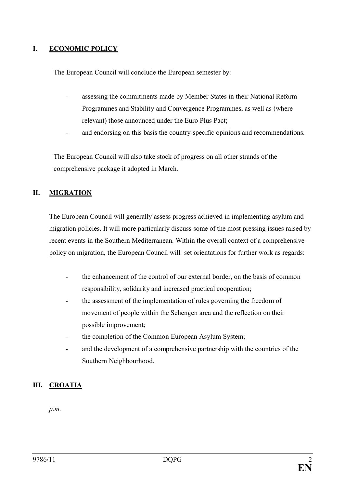# **I. ECONOMIC POLICY**

The European Council will conclude the European semester by:

- assessing the commitments made by Member States in their National Reform Programmes and Stability and Convergence Programmes, as well as (where relevant) those announced under the Euro Plus Pact;
- and endorsing on this basis the country-specific opinions and recommendations.

The European Council will also take stock of progress on all other strands of the comprehensive package it adopted in March.

## **II. MIGRATION**

The European Council will generally assess progress achieved in implementing asylum and migration policies. It will more particularly discuss some of the most pressing issues raised by recent events in the Southern Mediterranean. Within the overall context of a comprehensive policy on migration, the European Council will set orientations for further work as regards:

- the enhancement of the control of our external border, on the basis of common responsibility, solidarity and increased practical cooperation;
- the assessment of the implementation of rules governing the freedom of movement of people within the Schengen area and the reflection on their possible improvement;
- the completion of the Common European Asylum System;
- and the development of a comprehensive partnership with the countries of the Southern Neighbourhood.

## **III. CROATIA**

*p.m.*